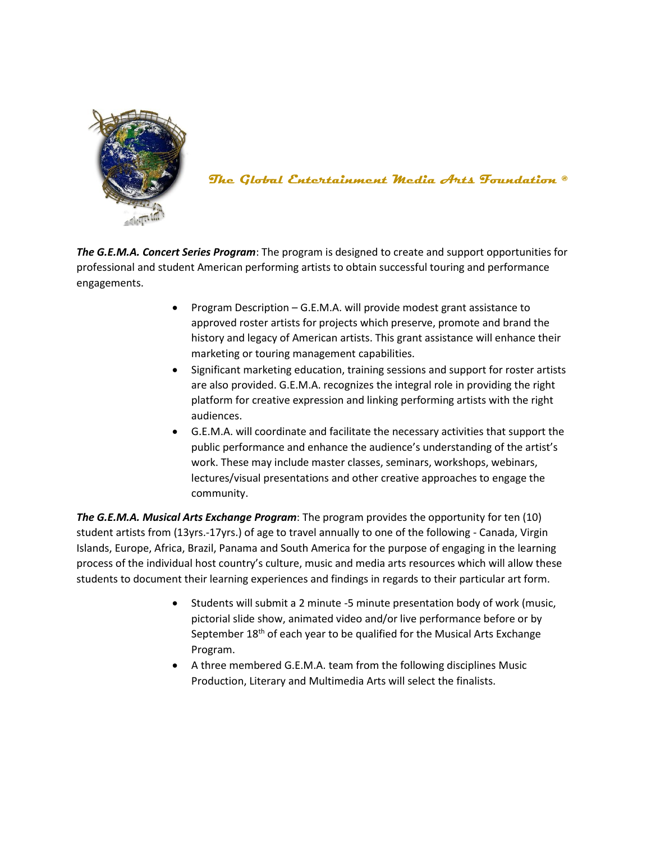

**The Global Entertainment Media Arts Foundation ®**

*The G.E.M.A. Concert Series Program*: The program is designed to create and support opportunities for professional and student American performing artists to obtain successful touring and performance engagements.

- Program Description G.E.M.A. will provide modest grant assistance to approved roster artists for projects which preserve, promote and brand the history and legacy of American artists. This grant assistance will enhance their marketing or touring management capabilities.
- Significant marketing education, training sessions and support for roster artists are also provided. G.E.M.A. recognizes the integral role in providing the right platform for creative expression and linking performing artists with the right audiences.
- G.E.M.A. will coordinate and facilitate the necessary activities that support the public performance and enhance the audience's understanding of the artist's work. These may include master classes, seminars, workshops, webinars, lectures/visual presentations and other creative approaches to engage the community.

*The G.E.M.A. Musical Arts Exchange Program*: The program provides the opportunity for ten (10) student artists from (13yrs.-17yrs.) of age to travel annually to one of the following - Canada, Virgin Islands, Europe, Africa, Brazil, Panama and South America for the purpose of engaging in the learning process of the individual host country's culture, music and media arts resources which will allow these students to document their learning experiences and findings in regards to their particular art form.

- Students will submit a 2 minute -5 minute presentation body of work (music, pictorial slide show, animated video and/or live performance before or by September  $18<sup>th</sup>$  of each year to be qualified for the Musical Arts Exchange Program.
- A three membered G.E.M.A. team from the following disciplines Music Production, Literary and Multimedia Arts will select the finalists.